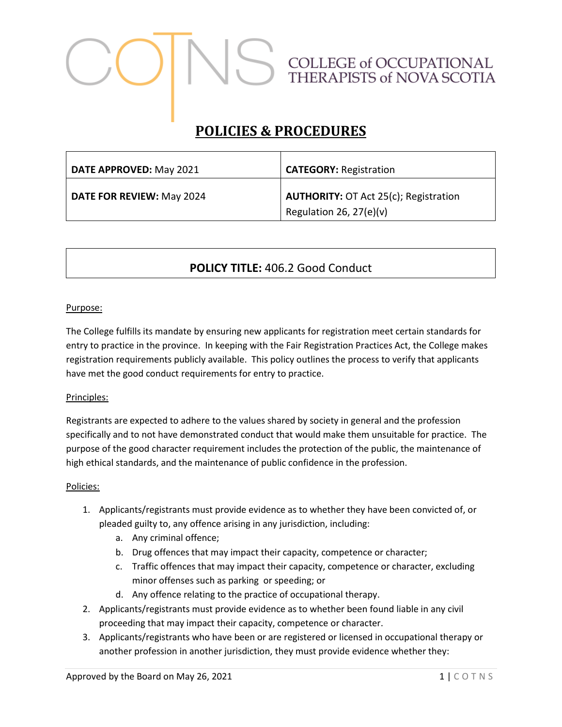# COLLEGE of OCCUPATIONAL<br>THERAPISTS of NOVA SCOTIA

# **POLICIES & PROCEDURES**

| DATE APPROVED: May 2021          | <b>CATEGORY: Registration</b>                                             |
|----------------------------------|---------------------------------------------------------------------------|
| <b>DATE FOR REVIEW: May 2024</b> | <b>AUTHORITY: OT Act 25(c); Registration</b><br>Regulation 26, $27(e)(v)$ |

# **POLICY TITLE:** 406.2 Good Conduct

#### Purpose:

The College fulfills its mandate by ensuring new applicants for registration meet certain standards for entry to practice in the province. In keeping with the Fair Registration Practices Act, the College makes registration requirements publicly available. This policy outlines the process to verify that applicants have met the good conduct requirements for entry to practice.

#### Principles:

Registrants are expected to adhere to the values shared by society in general and the profession specifically and to not have demonstrated conduct that would make them unsuitable for practice. The purpose of the good character requirement includes the protection of the public, the maintenance of high ethical standards, and the maintenance of public confidence in the profession.

#### Policies:

- 1. Applicants/registrants must provide evidence as to whether they have been convicted of, or pleaded guilty to, any offence arising in any jurisdiction, including:
	- a. Any criminal offence;
	- b. Drug offences that may impact their capacity, competence or character;
	- c. Traffic offences that may impact their capacity, competence or character, excluding minor offenses such as parking or speeding; or
	- d. Any offence relating to the practice of occupational therapy.
- 2. Applicants/registrants must provide evidence as to whether been found liable in any civil proceeding that may impact their capacity, competence or character.
- 3. Applicants/registrants who have been or are registered or licensed in occupational therapy or another profession in another jurisdiction, they must provide evidence whether they: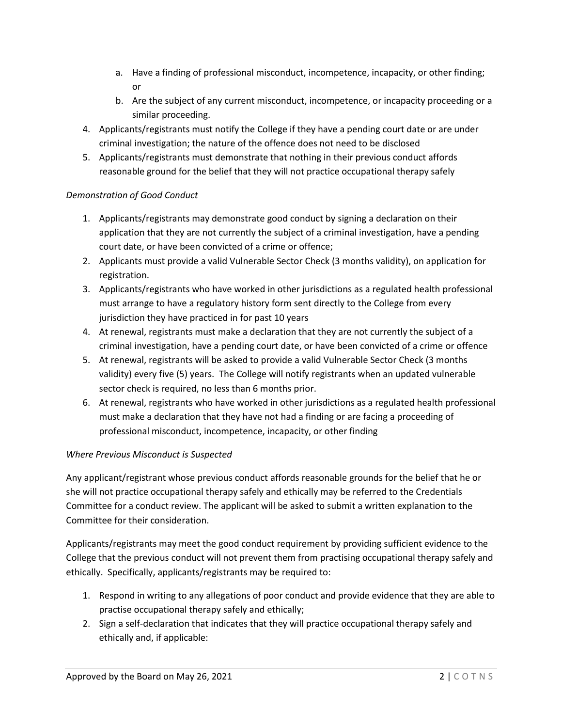- a. Have a finding of professional misconduct, incompetence, incapacity, or other finding; or
- b. Are the subject of any current misconduct, incompetence, or incapacity proceeding or a similar proceeding.
- 4. Applicants/registrants must notify the College if they have a pending court date or are under criminal investigation; the nature of the offence does not need to be disclosed
- 5. Applicants/registrants must demonstrate that nothing in their previous conduct affords reasonable ground for the belief that they will not practice occupational therapy safely

# *Demonstration of Good Conduct*

- 1. Applicants/registrants may demonstrate good conduct by signing a declaration on their application that they are not currently the subject of a criminal investigation, have a pending court date, or have been convicted of a crime or offence;
- 2. Applicants must provide a valid Vulnerable Sector Check (3 months validity), on application for registration.
- 3. Applicants/registrants who have worked in other jurisdictions as a regulated health professional must arrange to have a regulatory history form sent directly to the College from every jurisdiction they have practiced in for past 10 years
- 4. At renewal, registrants must make a declaration that they are not currently the subject of a criminal investigation, have a pending court date, or have been convicted of a crime or offence
- 5. At renewal, registrants will be asked to provide a valid Vulnerable Sector Check (3 months validity) every five (5) years. The College will notify registrants when an updated vulnerable sector check is required, no less than 6 months prior.
- 6. At renewal, registrants who have worked in other jurisdictions as a regulated health professional must make a declaration that they have not had a finding or are facing a proceeding of professional misconduct, incompetence, incapacity, or other finding

# *Where Previous Misconduct is Suspected*

Any applicant/registrant whose previous conduct affords reasonable grounds for the belief that he or she will not practice occupational therapy safely and ethically may be referred to the Credentials Committee for a conduct review. The applicant will be asked to submit a written explanation to the Committee for their consideration.

Applicants/registrants may meet the good conduct requirement by providing sufficient evidence to the College that the previous conduct will not prevent them from practising occupational therapy safely and ethically. Specifically, applicants/registrants may be required to:

- 1. Respond in writing to any allegations of poor conduct and provide evidence that they are able to practise occupational therapy safely and ethically;
- 2. Sign a self-declaration that indicates that they will practice occupational therapy safely and ethically and, if applicable: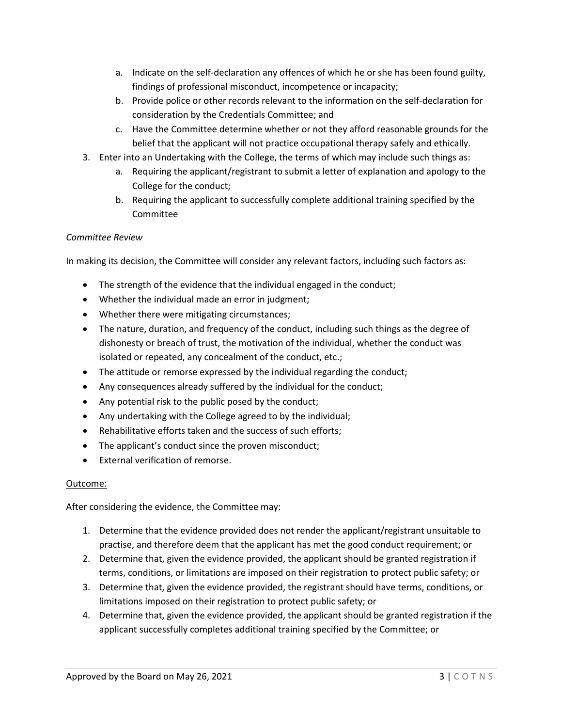- a. Indicate on the self-declaration any offences of which he or she has been found guilty, findings of professional misconduct, incompetence or incapacity;
- b. Provide police or other records relevant to the information on the self-declaration for consideration by the Credentials Committee; and
- c. Have the Committee determine whether or not they afford reasonable grounds for the belief that the applicant will not practice occupational therapy safely and ethically.
- 3. Enter into an Undertaking with the College, the terms of which may include such things as:
	- a. Requiring the applicant/registrant to submit a letter of explanation and apology to the College for the conduct;
	- b. Requiring the applicant to successfully complete additional training specified by the **Committee**

# *Committee Review*

In making its decision, the Committee will consider any relevant factors, including such factors as:

- The strength of the evidence that the individual engaged in the conduct;
- Whether the individual made an error in judgment;
- Whether there were mitigating circumstances;
- The nature, duration, and frequency of the conduct, including such things as the degree of dishonesty or breach of trust, the motivation of the individual, whether the conduct was isolated or repeated, any concealment of the conduct, etc.;
- The attitude or remorse expressed by the individual regarding the conduct;
- Any consequences already suffered by the individual for the conduct;
- Any potential risk to the public posed by the conduct;
- Any undertaking with the College agreed to by the individual;
- Rehabilitative efforts taken and the success of such efforts;
- The applicant's conduct since the proven misconduct;
- External verification of remorse.

#### Outcome:

After considering the evidence, the Committee may:

- 1. Determine that the evidence provided does not render the applicant/registrant unsuitable to practise, and therefore deem that the applicant has met the good conduct requirement; or
- 2. Determine that, given the evidence provided, the applicant should be granted registration if terms, conditions, or limitations are imposed on their registration to protect public safety; or
- 3. Determine that, given the evidence provided, the registrant should have terms, conditions, or limitations imposed on their registration to protect public safety; or
- 4. Determine that, given the evidence provided, the applicant should be granted registration if the applicant successfully completes additional training specified by the Committee; or